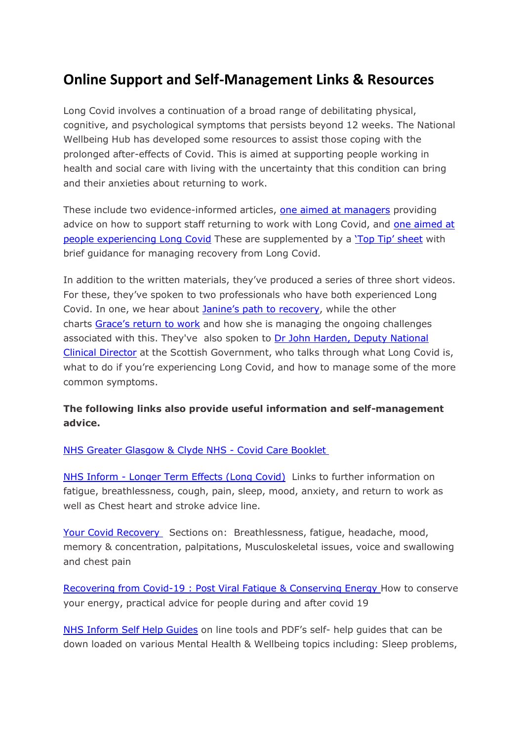## **Online Support and Self-Management Links & Resources**

Long Covid involves a continuation of a broad range of debilitating physical, cognitive, and psychological symptoms that persists beyond 12 weeks. The National Wellbeing Hub has developed some resources to assist those coping with the prolonged after-effects of Covid. This is aimed at supporting people working in health and social care with living with the uncertainty that this condition can bring and their anxieties about returning to work.

These include two evidence-informed articles, [one aimed at managers](https://wellbeinghub.scot/resource/supporting-staff-experiencing-long-covid-information-for-managers/) providing advice on how to support staff returning to work with Long Covid, and one aimed at [people experiencing Long Covid](https://wellbeinghub.scot/resources/?term=%22long+covid%22) These are supplemented by a ['Top Tip' sheet](https://wellbeinghub.scot/resource/tips-for-managing-long-covid/) with brief guidance for managing recovery from Long Covid.

In addition to the written materials, they've produced a series of three short videos. For these, they've spoken to two professionals who have both experienced Long Covid. In one, we hear about [Janine's path to recovery](https://wellbeinghub.scot/resource/path-to-recovery-janines-story/), while the other charts [Grace's return to work](https://wellbeinghub.scot/resource/long-covid-graces-journey/) and how she is managing the ongoing challenges associated with this. They've also spoken to Dr John Harden, Deputy National [Clinical Director](https://wellbeinghub.scot/resource/dr-john-harden-long-covid-explained/) at the Scottish Government, who talks through what Long Covid is, what to do if you're experiencing Long Covid, and how to manage some of the more common symptoms.

## **The following links also provide useful information and self-management advice.**

[NHS Greater Glasgow & Clyde NHS -](https://www.nhsggc.org.uk/media/262761/final-ggc-covid-19-care-information-a5-booklet.pdf) Covid Care Booklet

NHS Inform - [Longer Term Effects \(Long Covid\)](https://www.nhsinform.scot/illnesses-and-conditions/infections-and-poisoning/coronavirus-covid-19/coronavirus-covid-19-longer-term-effects-long-covid) Links to further information on fatigue, breathlessness, cough, pain, sleep, mood, anxiety, and return to work as well as Chest heart and stroke advice line.

[Your Covid Recovery](https://www.yourcovidrecovery.nhs.uk/) Sections on: Breathlessness, fatigue, headache, mood, memory & concentration, palpitations, Musculoskeletal issues, voice and swallowing and chest pain

[Recovering from Covid-19 : Post Viral Fatigue & Conserving Energy](https://www.rcot.co.uk/recovering-covid-19-post-viral-fatigue-and-conserving-energy) How to conserve your energy, practical advice for people during and after covid 19

[NHS Inform Self Help Guides](https://www.nhsinform.scot/self-help-guides) on line tools and PDF's self- help guides that can be down loaded on various Mental Health & Wellbeing topics including: Sleep problems,